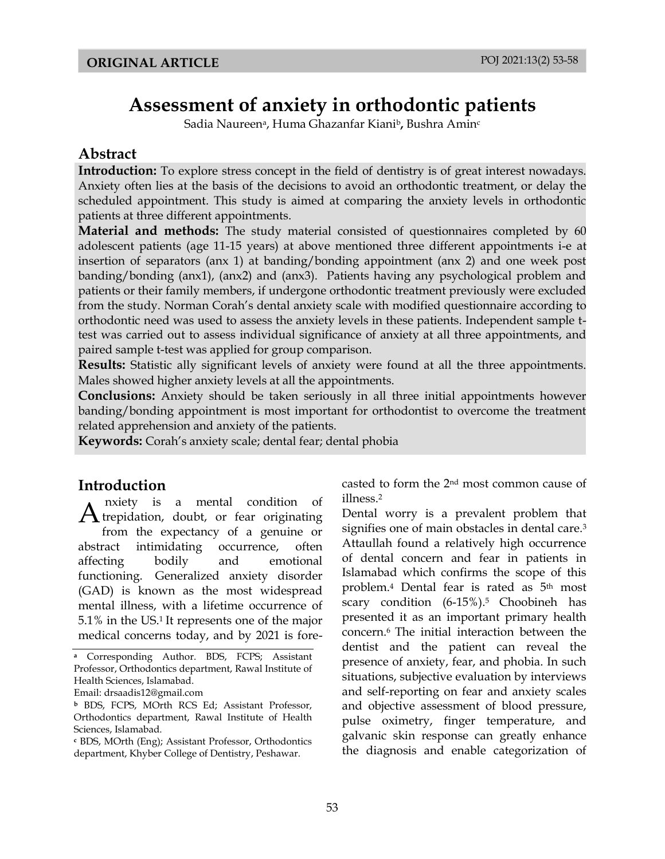# **Assessment of anxiety in orthodontic patients**

Sadia Naureena, Huma Ghazanfar Kianib**,** Bushra Amin<sup>c</sup>

#### **Abstract**

Introduction: To explore stress concept in the field of dentistry is of great interest nowadays. Anxiety often lies at the basis of the decisions to avoid an orthodontic treatment, or delay the scheduled appointment. This study is aimed at comparing the anxiety levels in orthodontic patients at three different appointments.

**Material and methods:** The study material consisted of questionnaires completed by 60 adolescent patients (age 11-15 years) at above mentioned three different appointments i-e at insertion of separators (anx 1) at banding/bonding appointment (anx 2) and one week post banding/bonding (anx1), (anx2) and (anx3). Patients having any psychological problem and patients or their family members, if undergone orthodontic treatment previously were excluded from the study. Norman Corah's dental anxiety scale with modified questionnaire according to orthodontic need was used to assess the anxiety levels in these patients. Independent sample ttest was carried out to assess individual significance of anxiety at all three appointments, and paired sample t-test was applied for group comparison.

**Results:** Statistic ally significant levels of anxiety were found at all the three appointments. Males showed higher anxiety levels at all the appointments.

**Conclusions:** Anxiety should be taken seriously in all three initial appointments however banding/bonding appointment is most important for orthodontist to overcome the treatment related apprehension and anxiety of the patients.

**Keywords:** Corah's anxiety scale; dental fear; dental phobia

#### **Introduction**

nxiety is a mental condition of  $A$ <sup>nxiety is a mental condition of</sup> from the expectancy of a genuine or abstract intimidating occurrence, often affecting bodily and emotional functioning. Generalized anxiety disorder (GAD) is known as the most widespread mental illness, with a lifetime occurrence of 5.1% in the US.1 It represents one of the major medical concerns today, and by 2021 is forecasted to form the 2nd most common cause of illness.<sup>2</sup>

Dental worry is a prevalent problem that signifies one of main obstacles in dental care.<sup>3</sup> Attaullah found a relatively high occurrence of dental concern and fear in patients in Islamabad which confirms the scope of this problem.<sup>4</sup> Dental fear is rated as 5th most scary condition (6-15%).<sup>5</sup> Choobineh has presented it as an important primary health concern.6 The initial interaction between the dentist and the patient can reveal the presence of anxiety, fear, and phobia. In such situations, subjective evaluation by interviews and self-reporting on fear and anxiety scales and objective assessment of blood pressure, pulse oximetry, finger temperature, and galvanic skin response can greatly enhance the diagnosis and enable categorization of

**<sup>a</sup>** Corresponding Author. BDS, FCPS; Assistant Professor, Orthodontics department, Rawal Institute of Health Sciences, Islamabad.

Email: drsaadis12@gmail.com

**<sup>b</sup>** BDS, FCPS, MOrth RCS Ed; Assistant Professor, Orthodontics department, Rawal Institute of Health Sciences, Islamabad.

**<sup>c</sup>** BDS, MOrth (Eng); Assistant Professor, Orthodontics department, Khyber College of Dentistry, Peshawar.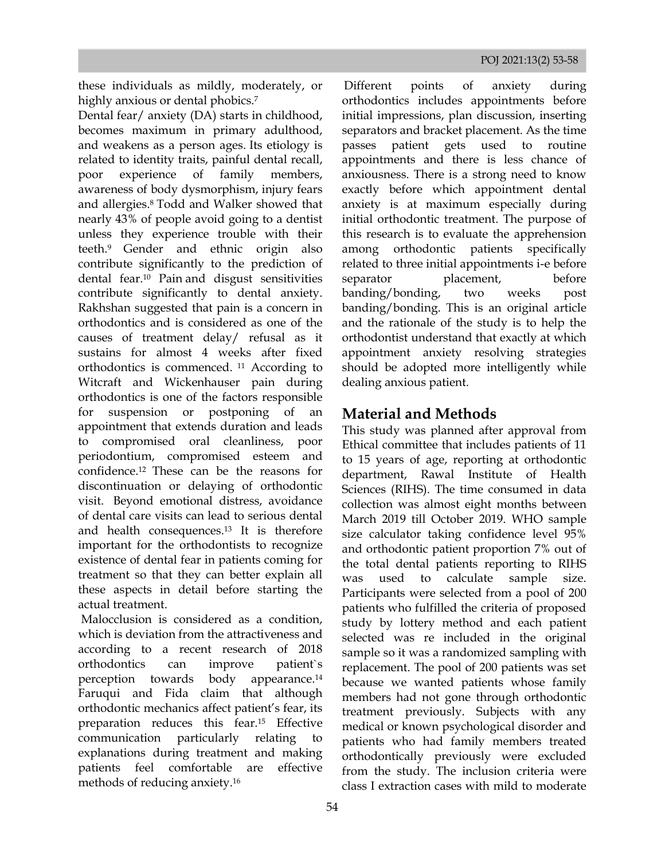these individuals as mildly, moderately, or highly anxious or dental phobics.<sup>7</sup>

Dental fear/ anxiety (DA) starts in childhood, becomes maximum in primary adulthood, and weakens as a person ages. Its etiology is related to identity traits, painful dental recall, poor experience of family members, awareness of body dysmorphism, injury fears and allergies.8 Todd and Walker showed that nearly 43% of people avoid going to a dentist unless they experience trouble with their teeth.9 Gender and ethnic origin also contribute significantly to the prediction of dental fear.<sup>10</sup> Pain and disgust sensitivities contribute significantly to dental anxiety. Rakhshan suggested that pain is a concern in orthodontics and is considered as one of the causes of treatment delay/ refusal as it sustains for almost 4 weeks after fixed orthodontics is commenced. <sup>11</sup> According to Witcraft and Wickenhauser pain during orthodontics is one of the factors responsible for suspension or postponing of an appointment that extends duration and leads to compromised oral cleanliness, poor periodontium, compromised esteem and confidence.12 These can be the reasons for discontinuation or delaying of orthodontic visit. Beyond emotional distress, avoidance of dental care visits can lead to serious dental and health consequences.<sup>13</sup> It is therefore important for the orthodontists to recognize existence of dental fear in patients coming for treatment so that they can better explain all these aspects in detail before starting the actual treatment.

Malocclusion is considered as a condition. which is deviation from the attractiveness and according to a recent research of 2018 orthodontics can improve patient`s perception towards body appearance.<sup>14</sup> Faruqui and Fida claim that although orthodontic mechanics affect patient's fear, its preparation reduces this fear.<sup>15</sup> Effective communication particularly relating explanations during treatment and making patients feel comfortable are effective methods of reducing anxiety.<sup>16</sup>

initial impressions, plan discussion, inserting anxiousness. There is a strong need to know Different points of anxiety during orthodontics includes appointments before separators and bracket placement. As the time passes patient gets used to routine appointments and there is less chance of exactly before which appointment dental anxiety is at maximum especially during initial orthodontic treatment. The purpose of this research is to evaluate the apprehension among orthodontic patients specifically related to three initial appointments i-e before separator placement, before banding/bonding, two weeks post banding/bonding. This is an original article and the rationale of the study is to help the orthodontist understand that exactly at which appointment anxiety resolving strategies should be adopted more intelligently while dealing anxious patient.

## **Material and Methods**

This study was planned after approval from Ethical committee that includes patients of 11 to 15 years of age, reporting at orthodontic department, Rawal Institute of Health Sciences (RIHS). The time consumed in data collection was almost eight months between March 2019 till October 2019. WHO sample size calculator taking confidence level 95% and orthodontic patient proportion 7% out of the total dental patients reporting to RIHS was used to calculate sample size. Participants were selected from a pool of 200 patients who fulfilled the criteria of proposed study by lottery method and each patient selected was re included in the original sample so it was a randomized sampling with replacement. The pool of 200 patients was set because we wanted patients whose family members had not gone through orthodontic treatment previously. Subjects with any medical or known psychological disorder and patients who had family members treated orthodontically previously were excluded from the study. The inclusion criteria were class I extraction cases with mild to moderate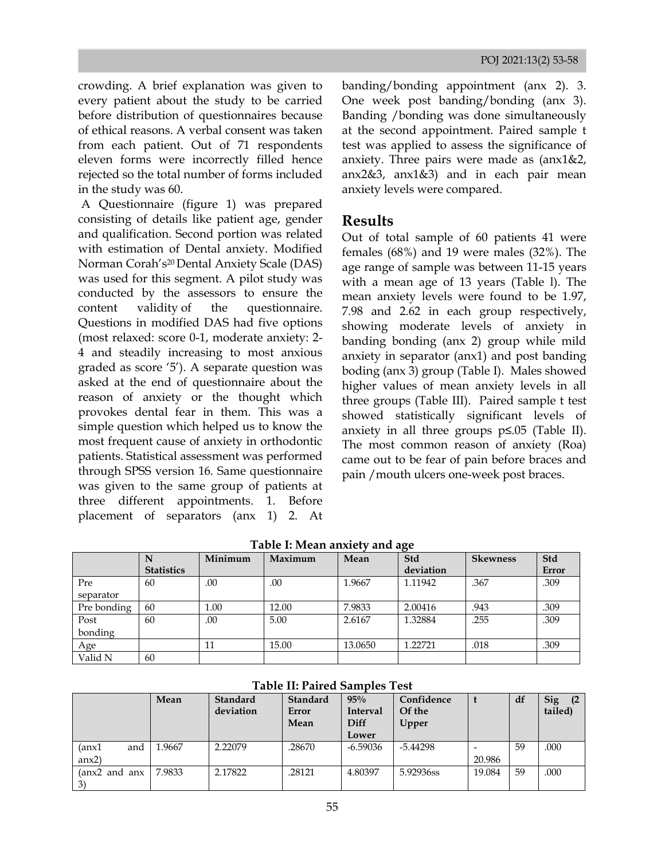crowding. A brief explanation was given to every patient about the study to be carried before distribution of questionnaires because of ethical reasons. A verbal consent was taken from each patient. Out of 71 respondents eleven forms were incorrectly filled hence rejected so the total number of forms included in the study was 60.

A Questionnaire (figure 1) was prepared consisting of details like patient age, gender and qualification. Second portion was related with estimation of Dental anxiety. Modified Norman Corah's20 Dental Anxiety Scale (DAS) was used for this segment. A pilot study was conducted by the assessors to ensure the content validity of the questionnaire. Questions in modified DAS had five options (most relaxed: score 0-1, moderate anxiety: 2- 4 and steadily increasing to most anxious graded as score '5'). A separate question was asked at the end of questionnaire about the reason of anxiety or the thought which provokes dental fear in them. This was a simple question which helped us to know the most frequent cause of anxiety in orthodontic patients. Statistical assessment was performed through SPSS version 16. Same questionnaire was given to the same group of patients at three different appointments. 1. Before placement of separators (anx 1) 2. At

Banding /bonding was done simultaneously  $\arctan\left(\frac{1}{2}\right)$  anx2&3, anx1&3) and in each pair mean banding/bonding appointment (anx 2). 3. One week post banding/bonding (anx 3). at the second appointment. Paired sample t test was applied to assess the significance of anxiety. Three pairs were made as (anx1&2, anxiety levels were compared.

#### **Results**

Out of total sample of 60 patients 41 were females (68%) and 19 were males (32%). The age range of sample was between 11-15 years with a mean age of 13 years (Table l). The mean anxiety levels were found to be 1.97, 7.98 and 2.62 in each group respectively, showing moderate levels of anxiety in banding bonding (anx 2) group while mild anxiety in separator (anx1) and post banding boding (anx 3) group (Table I). Males showed higher values of mean anxiety levels in all three groups (Table III). Paired sample t test showed statistically significant levels of anxiety in all three groups p≤.05 (Table II). The most common reason of anxiety (Roa) came out to be fear of pain before braces and pain /mouth ulcers one-week post braces.

|             |                   | Minimum | Maximum | Mean    | . .<br>Std | <b>Skewness</b> | Std          |
|-------------|-------------------|---------|---------|---------|------------|-----------------|--------------|
|             | <b>Statistics</b> |         |         |         | deviation  |                 | <b>Error</b> |
| Pre         | 60                | .00     | .00     | 1.9667  | 1.11942    | .367            | .309         |
| separator   |                   |         |         |         |            |                 |              |
| Pre bonding | 60                | 1.00    | 12.00   | 7.9833  | 2.00416    | .943            | .309         |
| Post        | 60                | .00     | 5.00    | 2.6167  | 1.32884    | .255            | .309         |
| bonding     |                   |         |         |         |            |                 |              |
| Age         |                   | 11      | 15.00   | 13.0650 | 1.22721    | .018            | .309         |
| Valid N     | 60                |         |         |         |            |                 |              |

**Table I: Mean anxiety and age**

| Tavit II. I antu bandito Ttol |        |                 |          |            |            |        |    |            |
|-------------------------------|--------|-----------------|----------|------------|------------|--------|----|------------|
|                               | Mean   | <b>Standard</b> | Standard | 95%        | Confidence |        | df | <b>Sig</b> |
|                               |        | deviation       | Error    | Interval   | Of the     |        |    | tailed)    |
|                               |        |                 | Mean     | Diff       | Upper      |        |    |            |
|                               |        |                 |          | Lower      |            |        |    |            |
| (anx1<br>and                  | 1.9667 | 2.22079         | .28670   | $-6.59036$ | $-5.44298$ |        | 59 | .000       |
| anx2                          |        |                 |          |            |            | 20.986 |    |            |
| (anx2 and anx                 | 7.9833 | 2.17822         | .28121   | 4.80397    | 5.92936ss  | 19.084 | 59 | .000       |
| 3)                            |        |                 |          |            |            |        |    |            |

**Table II: Paired Samples Test**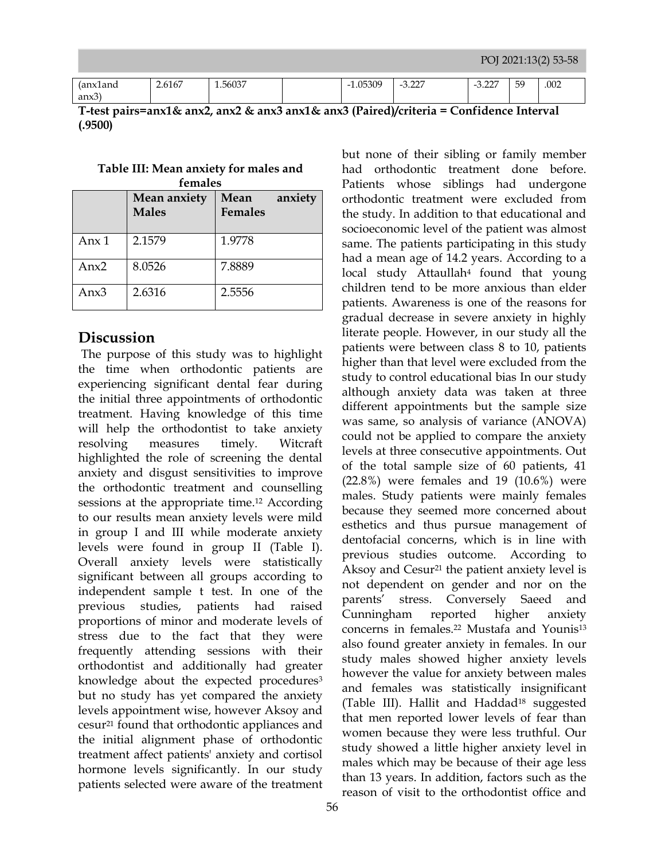| kianu     | $\sim$ $-$<br>2.6167 | 1.56037 | 1.05309<br>$\sim$ 1 | $\sim$<br>$\overline{\phantom{0}}$<br>. | $\sim$<br>$\overline{\phantom{0}}$<br>$\cup$ . $\sim$ . | $\sim$<br>nu.<br>ັ | .002 |
|-----------|----------------------|---------|---------------------|-----------------------------------------|---------------------------------------------------------|--------------------|------|
| ⌒<br>anx3 |                      |         |                     |                                         |                                                         |                    |      |

**T-test pairs=anx1& anx2, anx2 & anx3 anx1& anx3 (Paired)/criteria = Confidence Interval (.9500)** 

| Table III: Mean anxiety for males and |  |  |  |  |  |
|---------------------------------------|--|--|--|--|--|
| females                               |  |  |  |  |  |
|                                       |  |  |  |  |  |

|         | Mean anxiety<br><b>Males</b> | Mean<br>anxiety<br><b>Females</b> |
|---------|------------------------------|-----------------------------------|
| Anx $1$ | 2.1579                       | 1.9778                            |
| Anx $2$ | 8.0526                       | 7.8889                            |
| Anx $3$ | 2.6316                       | 2.5556                            |

#### **Discussion**

The purpose of this study was to highlight the time when orthodontic patients are experiencing significant dental fear during the initial three appointments of orthodontic treatment. Having knowledge of this time will help the orthodontist to take anxiety resolving measures timely. Witcraft highlighted the role of screening the dental anxiety and disgust sensitivities to improve the orthodontic treatment and counselling sessions at the appropriate time.<sup>12</sup> According to our results mean anxiety levels were mild in group I and III while moderate anxiety levels were found in group II (Table I). Overall anxiety levels were statistically significant between all groups according to independent sample t test. In one of the previous studies, patients had raised proportions of minor and moderate levels of stress due to the fact that they were frequently attending sessions with their orthodontist and additionally had greater knowledge about the expected procedures<sup>3</sup> but no study has yet compared the anxiety levels appointment wise, however Aksoy and cesur<sup>21</sup> found that orthodontic appliances and the initial alignment phase of orthodontic treatment affect patients' anxiety and cortisol hormone levels significantly. In our study patients selected were aware of the treatment

 had orthodontic treatment done before. but none of their sibling or family member Patients whose siblings had undergone orthodontic treatment were excluded from the study. In addition to that educational and socioeconomic level of the patient was almost same. The patients participating in this study had a mean age of 14.2 years. According to a local study Attaullah4 found that young children tend to be more anxious than elder patients. Awareness is one of the reasons for gradual decrease in severe anxiety in highly literate people. However, in our study all the patients were between class 8 to 10, patients higher than that level were excluded from the study to control educational bias In our study although anxiety data was taken at three different appointments but the sample size was same, so analysis of variance (ANOVA) could not be applied to compare the anxiety levels at three consecutive appointments. Out of the total sample size of 60 patients, 41 (22.8%) were females and 19 (10.6%) were males. Study patients were mainly females because they seemed more concerned about esthetics and thus pursue management of dentofacial concerns, which is in line with previous studies outcome. According to Aksoy and Cesur<sup>21</sup> the patient anxiety level is not dependent on gender and nor on the parents' stress. Conversely Saeed and Cunningham reported higher anxiety concerns in females.<sup>22</sup> Mustafa and Younis<sup>13</sup> also found greater anxiety in females. In our study males showed higher anxiety levels however the value for anxiety between males and females was statistically insignificant (Table III). Hallit and Haddad<sup>18</sup> suggested that men reported lower levels of fear than women because they were less truthful. Our study showed a little higher anxiety level in males which may be because of their age less than 13 years. In addition, factors such as the reason of visit to the orthodontist office and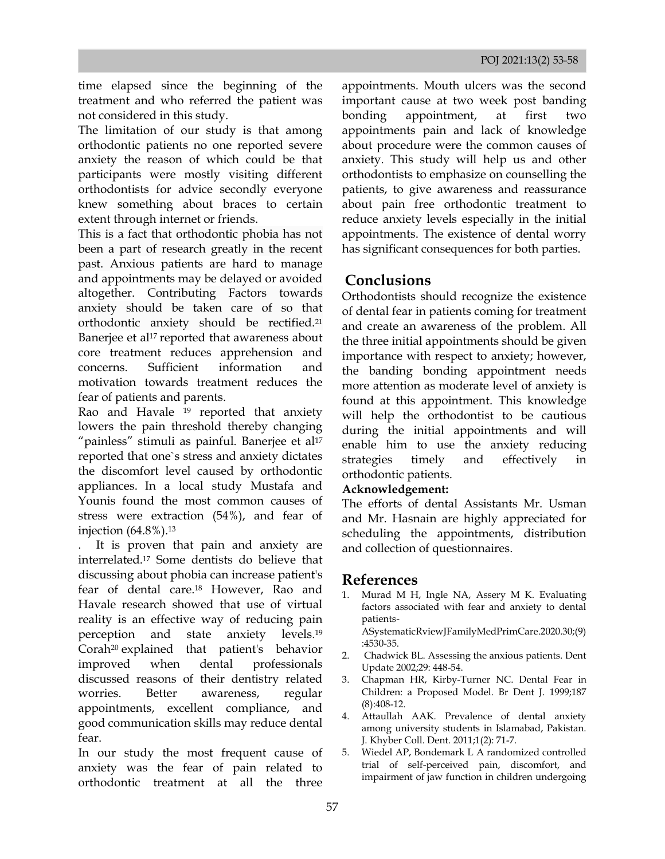time elapsed since the beginning of the treatment and who referred the patient was not considered in this study.

The limitation of our study is that among orthodontic patients no one reported severe anxiety the reason of which could be that participants were mostly visiting different orthodontists for advice secondly everyone knew something about braces to certain extent through internet or friends.

This is a fact that orthodontic phobia has not been a part of research greatly in the recent past. Anxious patients are hard to manage and appointments may be delayed or avoided altogether. Contributing Factors towards anxiety should be taken care of so that orthodontic anxiety should be rectified.<sup>21</sup> Banerjee et al<sup>17</sup> reported that awareness about core treatment reduces apprehension and concerns. Sufficient information and motivation towards treatment reduces the fear of patients and parents.

Rao and Havale <sup>19</sup> reported that anxiety lowers the pain threshold thereby changing "painless" stimuli as painful. Banerjee et al<sup>17</sup> reported that one`s stress and anxiety dictates the discomfort level caused by orthodontic appliances. In a local study Mustafa and Younis found the most common causes of stress were extraction (54%), and fear of injection (64.8%).<sup>13</sup>

. It is proven that pain and anxiety are interrelated.<sup>17</sup> Some dentists do believe that discussing about phobia can increase patient's fear of dental care.<sup>18</sup> However, Rao and Havale research showed that use of virtual reality is an effective way of reducing pain perception and state anxiety levels.<sup>19</sup> Corah<sup>20</sup> explained that patient's behavior improved when dental professionals discussed reasons of their dentistry related worries. Better awareness, regular appointments, excellent compliance, and good communication skills may reduce dental fear.

In our study the most frequent cause of anxiety was the fear of pain related to orthodontic treatment at all the three

two orthodontists to emphasize on counselling the appointments. Mouth ulcers was the second important cause at two week post banding bonding appointment, at first appointments pain and lack of knowledge about procedure were the common causes of anxiety. This study will help us and other patients, to give awareness and reassurance about pain free orthodontic treatment to reduce anxiety levels especially in the initial appointments. The existence of dental worry has significant consequences for both parties.

## **Conclusions**

Orthodontists should recognize the existence of dental fear in patients coming for treatment and create an awareness of the problem. All the three initial appointments should be given importance with respect to anxiety; however, the banding bonding appointment needs more attention as moderate level of anxiety is found at this appointment. This knowledge will help the orthodontist to be cautious during the initial appointments and will enable him to use the anxiety reducing strategies timely and effectively in orthodontic patients.

#### **Acknowledgement:**

The efforts of dental Assistants Mr. Usman and Mr. Hasnain are highly appreciated for scheduling the appointments, distribution and collection of questionnaires.

### **References**

1. Murad M H, Ingle NA, Assery M K. Evaluating factors associated with fear and anxiety to dental patients-

ASystematicRviewJFamilyMedPrimCare.2020.30;(9) :4530-35.

- 2. Chadwick BL. Assessing the anxious patients. Dent Update 2002;29: 448-54.
- 3. Chapman HR, Kirby-Turner NC. Dental Fear in Children: a Proposed Model. Br Dent J. 1999;187 (8):408-12.
- 4. Attaullah AAK. Prevalence of dental anxiety among university students in Islamabad, Pakistan. J. Khyber Coll. Dent. 2011;1(2): 71-7.
- 5. Wiedel AP, Bondemark [L A randomized controlled](about:blank)  [trial of self-perceived pain, discomfort, and](about:blank)  [impairment of jaw function in children undergoing](about:blank)